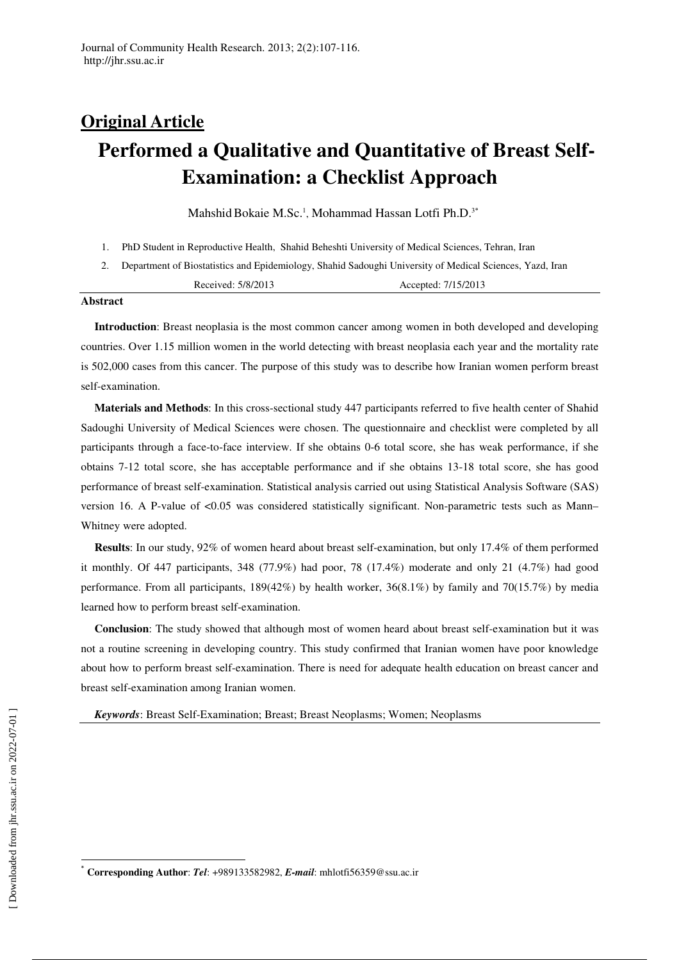# **Original Article Performed a Qualitative and Quantitative of Breast Self-Examination: a Checklist Approach**

Mahshid Bokaie M.Sc.<sup>1</sup>, Mohammad Hassan Lotfi Ph.D.<sup>3\*</sup>

- 1. PhD Student in Reproductive Health, Shahid Beheshti University of Medical Sciences, Tehran, Iran
- 2. Department of Biostatistics and Epidemiology, Shahid Sadoughi University of Medical Sciences, Yazd, Iran

| Received: 5/8/2013 | Accepted: 7/15/2013 |  |
|--------------------|---------------------|--|
|--------------------|---------------------|--|

#### **Abstract**

**Introduction**: Breast neoplasia is the most common cancer among women in both developed and developing countries. Over 1.15 million women in the world detecting with breast neoplasia each year and the mortality rate is 502,000 cases from this cancer. The purpose of this study was to describe how Iranian women perform breast self-examination.

**Materials and Methods**: In this cross-sectional study 447 participants referred to five health center of Shahid Sadoughi University of Medical Sciences were chosen. The questionnaire and checklist were completed by all participants through a face-to-face interview. If she obtains 0-6 total score, she has weak performance, if she obtains 7-12 total score, she has acceptable performance and if she obtains 13-18 total score, she has good performance of breast self-examination. Statistical analysis carried out using Statistical Analysis Software (SAS) version 16. A P-value of <0.05 was considered statistically significant. Non-parametric tests such as Mann– Whitney were adopted.

**Results**: In our study, 92% of women heard about breast self-examination, but only 17.4% of them performed it monthly. Of 447 participants, 348 (77.9%) had poor, 78 (17.4%) moderate and only 21 (4.7%) had good performance. From all participants, 189(42%) by health worker, 36(8.1%) by family and 70(15.7%) by media learned how to perform breast self-examination.

**Conclusion**: The study showed that although most of women heard about breast self-examination but it was not a routine screening in developing country. This study confirmed that Iranian women have poor knowledge about how to perform breast self-examination. There is need for adequate health education on breast cancer and breast self-examination among Iranian women.

*Keywords*: Breast Self-Examination; Breast; Breast Neoplasms; Women; Neoplasms

 $\overline{a}$ 

<sup>\*</sup> **Corresponding Author**: *Tel*: +989133582982, *E-mail*: mhlotfi56359@ssu.ac.ir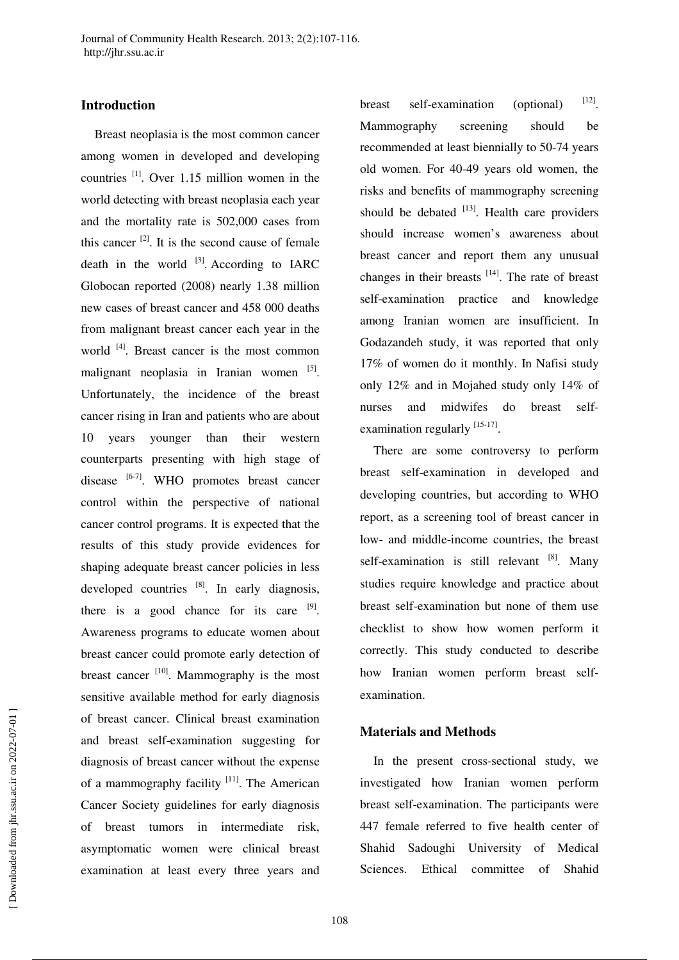# **Introduction**

Breast neoplasia is the most common cancer among women in developed and developing countries  $^{[1]}$ . Over 1.15 million women in the world detecting with breast neoplasia each year and the mortality rate is 502,000 cases from this cancer  $^{[2]}$ . It is the second cause of female death in the world  $[3]$ . According to IARC Globocan reported (2008) nearly 1.38 million new cases of breast cancer and 458 000 deaths from malignant breast cancer each year in the world <sup>[4]</sup>. Breast cancer is the most common malignant neoplasia in Iranian women [5]. Unfortunately, the incidence of the breast cancer rising in Iran and patients who are about 10 years younger than their western counterparts presenting with high stage of disease  $[6-7]$ . WHO promotes breast cancer control within the perspective of national cancer control programs. It is expected that the results of this study provide evidences for shaping adequate breast cancer policies in less developed countries  $[8]$ . In early diagnosis, there is a good chance for its care  $[9]$ . Awareness programs to educate women about breast cancer could promote early detection of breast cancer  $[10]$ . Mammography is the most sensitive available method for early diagnosis of breast cancer. Clinical breast examination and breast self-examination suggesting for diagnosis of breast cancer without the expense of a mammography facility  $[11]$ . The American Cancer Society guidelines for early diagnosis of breast tumors in intermediate risk, asymptomatic women were clinical breast examination at least every three years and

breast self-examination (optional) [12] Mammography screening should be recommended at least biennially to 50-74 years old women. For 40-49 years old women, the risks and benefits of mammography screening should be debated  $[13]$ . Health care providers should increase women's awareness about breast cancer and report them any unusual changes in their breasts  $[14]$ . The rate of breast self-examination practice and knowledge among Iranian women are insufficient. In Godazandeh study, it was reported that only 17% of women do it monthly. In Nafisi study only 12% and in Mojahed study only 14% of nurses and midwifes do breast selfexamination regularly [15-17].

There are some controversy to perform breast self-examination in developed and developing countries, but according to WHO report, as a screening tool of breast cancer in low- and middle-income countries, the breast self-examination is still relevant  $[8]$ . Many studies require knowledge and practice about breast self-examination but none of them use checklist to show how women perform it correctly. This study conducted to describe how Iranian women perform breast selfexamination.

# **Materials and Methods**

In the present cross-sectional study, we investigated how Iranian women perform breast self-examination. The participants were 447 female referred to five health center of Shahid Sadoughi University of Medical Sciences. Ethical committee of Shahid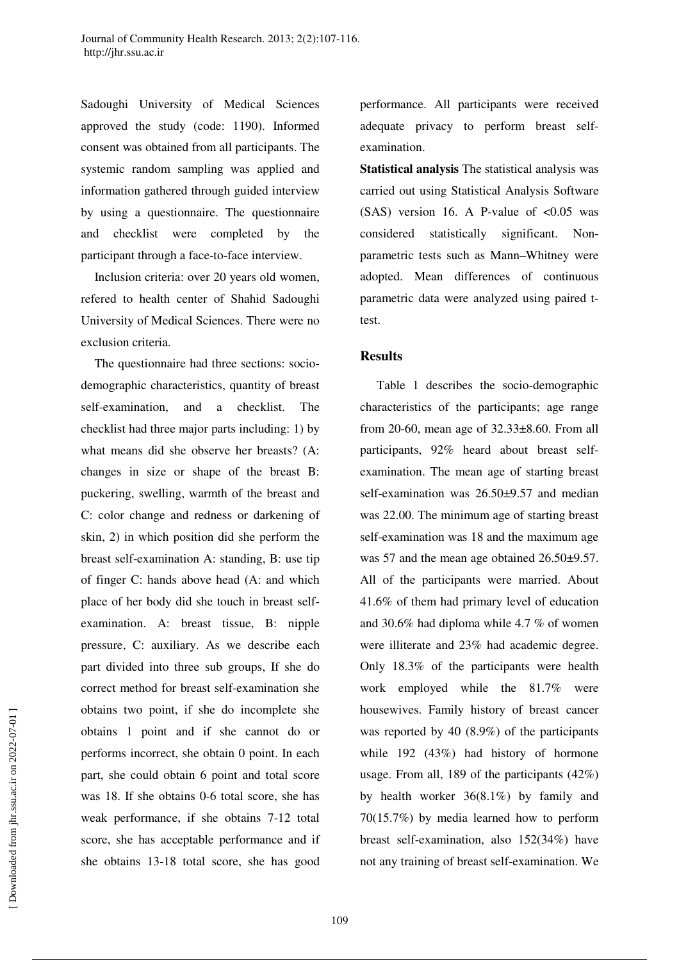Sadoughi University of Medical Sciences approved the study (code: 1190). Informed consent was obtained from all participants. The systemic random sampling was applied and information gathered through guided interview by using a questionnaire. The questionnaire and checklist were completed by the participant through a face-to-face interview.

Inclusion criteria: over 20 years old women, refered to health center of Shahid Sadoughi University of Medical Sciences. There were no exclusion criteria.

The questionnaire had three sections: sociodemographic characteristics, quantity of breast self-examination, and a checklist. The checklist had three major parts including: 1) by what means did she observe her breasts? (A: changes in size or shape of the breast B: puckering, swelling, warmth of the breast and C: color change and redness or darkening of skin, 2) in which position did she perform the breast self-examination A: standing, B: use tip of finger C: hands above head (A: and which place of her body did she touch in breast selfexamination. A: breast tissue, B: nipple pressure, C: auxiliary. As we describe each part divided into three sub groups, If she do correct method for breast self-examination she obtains two point, if she do incomplete she obtains 1 point and if she cannot do or performs incorrect, she obtain 0 point. In each part, she could obtain 6 point and total score was 18. If she obtains 0-6 total score, she has weak performance, if she obtains 7-12 total score, she has acceptable performance and if she obtains 13-18 total score, she has good performance. All participants were received adequate privacy to perform breast selfexamination.

**Statistical analysis** The statistical analysis was carried out using Statistical Analysis Software  $(SAS)$  version 16. A P-value of  $\langle 0.05 \rangle$  was considered statistically significant. Nonparametric tests such as Mann–Whitney were adopted. Mean differences of continuous parametric data were analyzed using paired ttest.

#### **Results**

 Table 1 describes the socio-demographic characteristics of the participants; age range from 20-60, mean age of  $32.33\pm8.60$ . From all participants, 92% heard about breast selfexamination. The mean age of starting breast self-examination was 26.50±9.57 and median was 22.00. The minimum age of starting breast self-examination was 18 and the maximum age was 57 and the mean age obtained  $26.50\pm9.57$ . All of the participants were married. About 41.6% of them had primary level of education and 30.6% had diploma while 4.7 % of women were illiterate and 23% had academic degree. Only 18.3% of the participants were health work employed while the 81.7% were housewives. Family history of breast cancer was reported by 40 (8.9%) of the participants while 192 (43%) had history of hormone usage. From all, 189 of the participants (42%) by health worker 36(8.1%) by family and 70(15.7%) by media learned how to perform breast self-examination, also 152(34%) have not any training of breast self-examination. We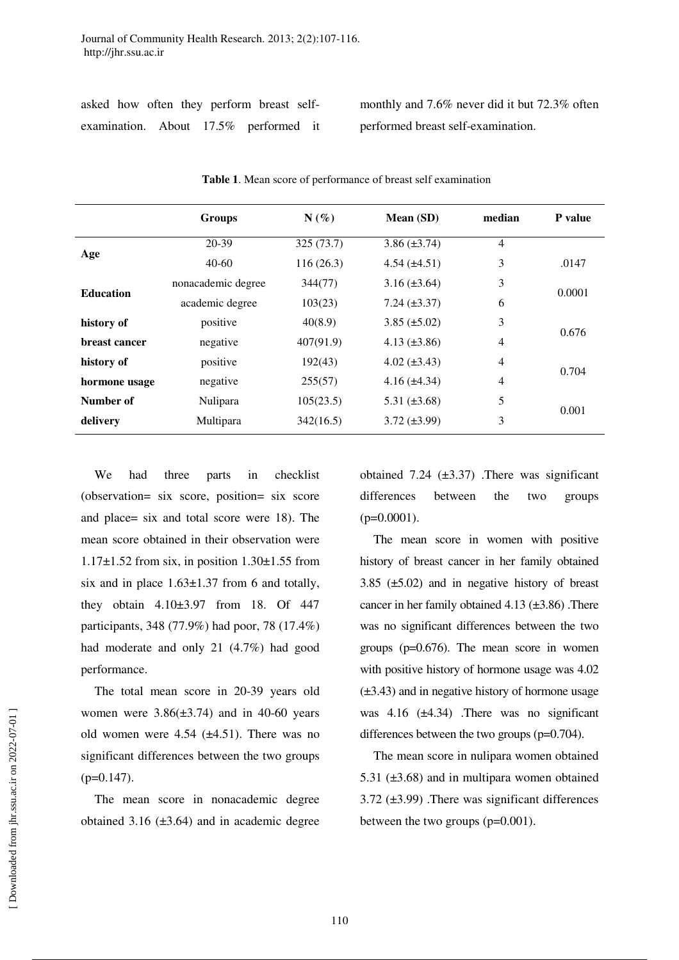asked how often they perform breast selfexamination. About 17.5% performed it monthly and 7.6% never did it but 72.3% often performed breast self-examination.

|                  | <b>Groups</b>      | $N(\%)$    | Mean (SD)           | median         | <b>P</b> value |
|------------------|--------------------|------------|---------------------|----------------|----------------|
| Age              | 20-39              | 325 (73.7) | $3.86 \ (\pm 3.74)$ | $\overline{4}$ |                |
|                  | $40 - 60$          | 116(26.3)  | $4.54 \ (\pm 4.51)$ | 3              | .0147          |
| <b>Education</b> | nonacademic degree | 344(77)    | $3.16 (\pm 3.64)$   | $\mathfrak{Z}$ | 0.0001         |
|                  | academic degree    | 103(23)    | $7.24 (\pm 3.37)$   | 6              |                |
| history of       | positive           | 40(8.9)    | $3.85 \ (\pm 5.02)$ | 3              | 0.676          |
| breast cancer    | negative           | 407(91.9)  | $4.13 \ (\pm 3.86)$ | $\overline{4}$ |                |
| history of       | positive           | 192(43)    | $4.02 \ (\pm 3.43)$ | $\overline{4}$ | 0.704          |
| hormone usage    | negative           | 255(57)    | $4.16 (\pm 4.34)$   | $\overline{4}$ |                |
| Number of        | Nulipara           | 105(23.5)  | $5.31 (\pm 3.68)$   | 5              | 0.001          |
| delivery         | Multipara          | 342(16.5)  | $3.72 \ (\pm 3.99)$ | 3              |                |

**Table 1**. Mean score of performance of breast self examination

We had three parts in checklist (observation= six score, position= six score and place= six and total score were 18). The mean score obtained in their observation were  $1.17\pm1.52$  from six, in position  $1.30\pm1.55$  from six and in place 1.63±1.37 from 6 and totally, they obtain 4.10±3.97 from 18. Of 447 participants, 348 (77.9%) had poor, 78 (17.4%) had moderate and only 21 (4.7%) had good performance.

The total mean score in 20-39 years old women were  $3.86(\pm 3.74)$  and in 40-60 years old women were 4.54 (±4.51). There was no significant differences between the two groups  $(p=0.147)$ .

The mean score in nonacademic degree obtained 3.16  $(\pm 3.64)$  and in academic degree

obtained 7.24  $(\pm 3.37)$  . There was significant differences between the two groups  $(p=0.0001)$ .

The mean score in women with positive history of breast cancer in her family obtained 3.85  $(\pm 5.02)$  and in negative history of breast cancer in her family obtained 4.13 (±3.86) .There was no significant differences between the two groups (p=0.676). The mean score in women with positive history of hormone usage was 4.02  $(\pm 3.43)$  and in negative history of hormone usage was  $4.16$  ( $\pm 4.34$ ). There was no significant differences between the two groups (p=0.704).

The mean score in nulipara women obtained 5.31  $(\pm 3.68)$  and in multipara women obtained 3.72 (±3.99) .There was significant differences between the two groups (p=0.001).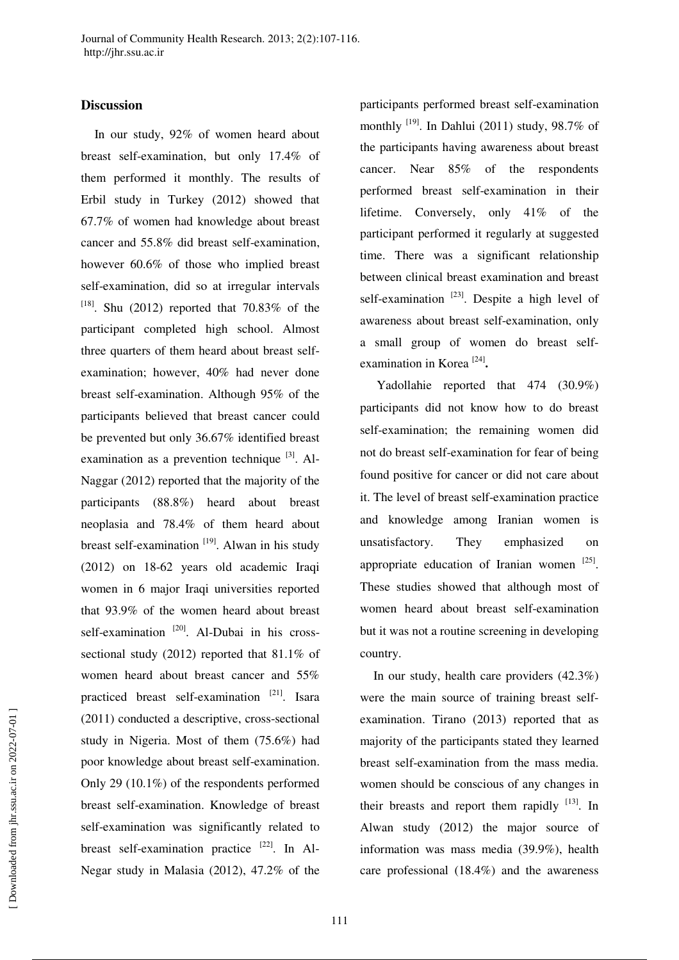# **Discussion**

In our study, 92% of women heard about breast self-examination, but only 17.4% of them performed it monthly. The results of Erbil study in Turkey (2012) showed that 67.7% of women had knowledge about breast cancer and 55.8% did breast self-examination, however 60.6% of those who implied breast self-examination, did so at irregular intervals  $[18]$ . Shu (2012) reported that 70.83% of the participant completed high school. Almost three quarters of them heard about breast selfexamination; however, 40% had never done breast self-examination. Although 95% of the participants believed that breast cancer could be prevented but only 36.67% identified breast examination as a prevention technique  $[3]$ . Al-Naggar (2012) reported that the majority of the participants (88.8%) heard about breast neoplasia and 78.4% of them heard about breast self-examination  $[19]$ . Alwan in his study (2012) on 18-62 years old academic Iraqi women in 6 major Iraqi universities reported that 93.9% of the women heard about breast self-examination  $[20]$ . Al-Dubai in his crosssectional study (2012) reported that 81.1% of women heard about breast cancer and 55% practiced breast self-examination [21]. Isara (2011) conducted a descriptive, cross-sectional study in Nigeria. Most of them (75.6%) had poor knowledge about breast self-examination. Only 29 (10.1%) of the respondents performed breast self-examination. Knowledge of breast self-examination was significantly related to breast self-examination practice  $[22]$ . In Al-Negar study in Malasia (2012), 47.2% of the participants performed breast self-examination monthly  $^{[19]}$ . In Dahlui (2011) study, 98.7% of the participants having awareness about breast cancer. Near 85% of the respondents performed breast self-examination in their lifetime. Conversely, only 41% of the participant performed it regularly at suggested time. There was a significant relationship between clinical breast examination and breast self-examination  $^{[23]}$ . Despite a high level of awareness about breast self-examination, only a small group of women do breast selfexamination in Korea<sup>[24]</sup>.

Yadollahie reported that 474 (30.9%) participants did not know how to do breast self-examination; the remaining women did not do breast self-examination for fear of being found positive for cancer or did not care about it. The level of breast self-examination practice and knowledge among Iranian women is unsatisfactory. They emphasized on appropriate education of Iranian women  $^{[25]}$ . These studies showed that although most of women heard about breast self-examination but it was not a routine screening in developing country.

In our study, health care providers (42.3%) were the main source of training breast selfexamination. Tirano (2013) reported that as majority of the participants stated they learned breast self-examination from the mass media. women should be conscious of any changes in their breasts and report them rapidly  $[13]$ . In Alwan study (2012) the major source of information was mass media (39.9%), health care professional (18.4%) and the awareness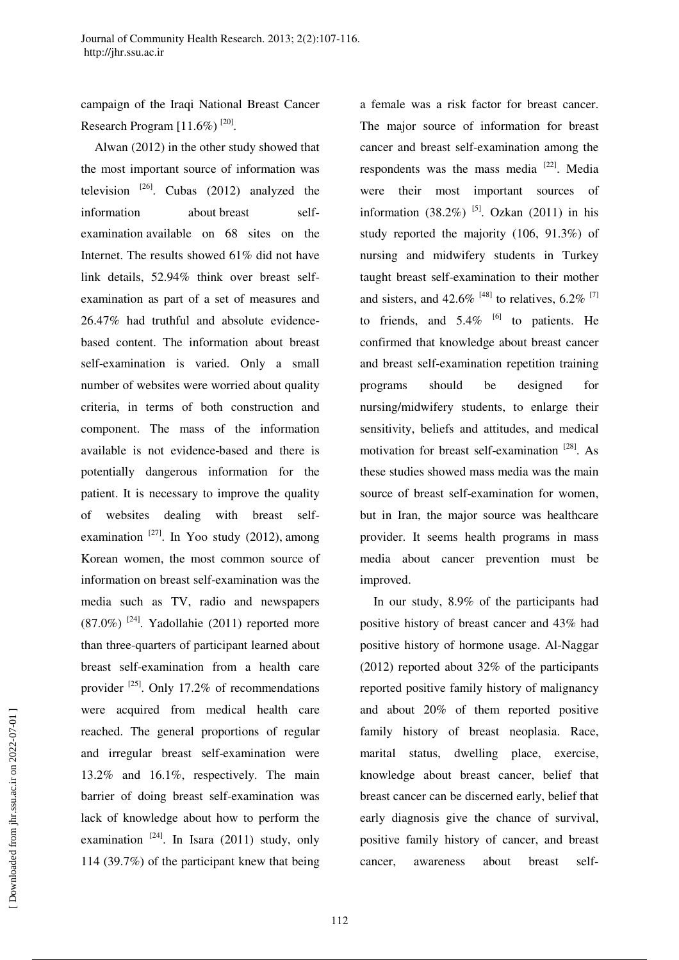campaign of the Iraqi National Breast Cancer Research Program  $[11.6\%)$ <sup>[20]</sup>.

Alwan (2012) in the other study showed that the most important source of information was television  $^{[26]}$ . Cubas (2012) analyzed the information about breast selfexamination available on 68 sites on the Internet. The results showed 61% did not have link details, 52.94% think over breast selfexamination as part of a set of measures and 26.47% had truthful and absolute evidencebased content. The information about breast self-examination is varied. Only a small number of websites were worried about quality criteria, in terms of both construction and component. The mass of the information available is not evidence-based and there is potentially dangerous information for the patient. It is necessary to improve the quality of websites dealing with breast selfexamination  $^{[27]}$ . In Yoo study (2012), among Korean women, the most common source of information on breast self-examination was the media such as TV, radio and newspapers  $(87.0\%)$ <sup>[24]</sup>. Yadollahie (2011) reported more than three-quarters of participant learned about breast self-examination from a health care provider  $^{[25]}$ . Only 17.2% of recommendations were acquired from medical health care reached. The general proportions of regular and irregular breast self-examination were 13.2% and 16.1%, respectively. The main barrier of doing breast self-examination was lack of knowledge about how to perform the examination  $[24]$ . In Isara (2011) study, only 114 (39.7%) of the participant knew that being a female was a risk factor for breast cancer. The major source of information for breast cancer and breast self-examination among the respondents was the mass media  $[22]$ . Media were their most important sources of information  $(38.2\%)$ <sup>[5]</sup>. Ozkan  $(2011)$  in his study reported the majority (106, 91.3%) of nursing and midwifery students in Turkey taught breast self-examination to their mother and sisters, and 42.6%  $^{[48]}$  to relatives, 6.2% <sup>[7]</sup> to friends, and  $5.4\%$  <sup>[6]</sup> to patients. He confirmed that knowledge about breast cancer and breast self-examination repetition training programs should be designed for nursing/midwifery students, to enlarge their sensitivity, beliefs and attitudes, and medical motivation for breast self-examination [28]. As these studies showed mass media was the main source of breast self-examination for women, but in Iran, the major source was healthcare provider. It seems health programs in mass media about cancer prevention must be improved.

In our study, 8.9% of the participants had positive history of breast cancer and 43% had positive history of hormone usage. Al-Naggar (2012) reported about 32% of the participants reported positive family history of malignancy and about 20% of them reported positive family history of breast neoplasia. Race, marital status, dwelling place, exercise, knowledge about breast cancer, belief that breast cancer can be discerned early, belief that early diagnosis give the chance of survival, positive family history of cancer, and breast cancer, awareness about breast self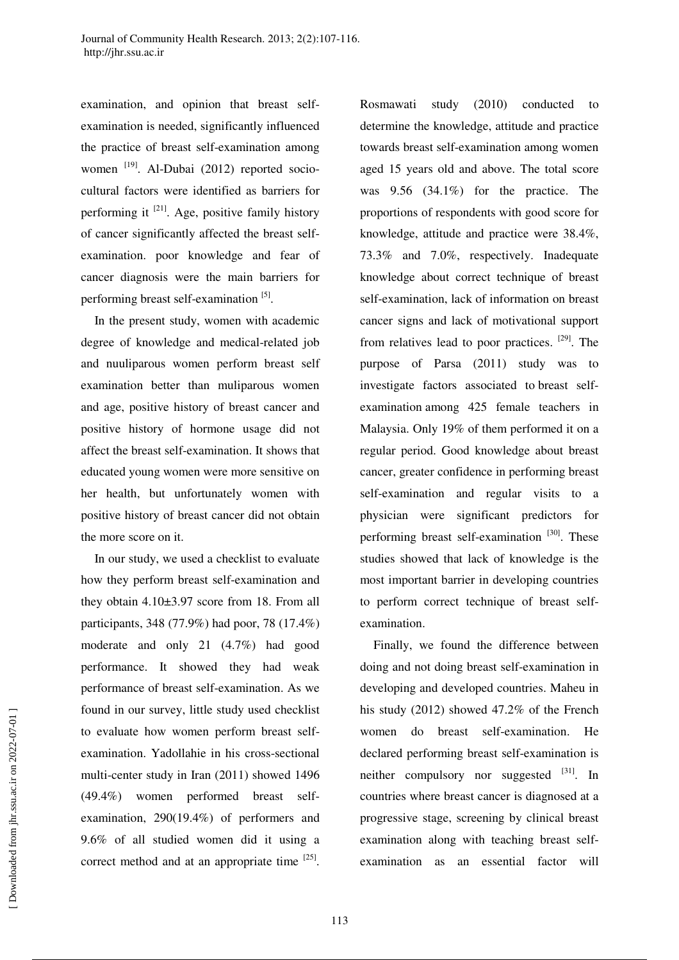examination, and opinion that breast selfexamination is needed, significantly influenced the practice of breast self-examination among women [19]. Al-Dubai (2012) reported sociocultural factors were identified as barriers for performing it  $^{[21]}$ . Age, positive family history of cancer significantly affected the breast selfexamination. poor knowledge and fear of cancer diagnosis were the main barriers for performing breast self-examination<sup>[5]</sup>.

In the present study, women with academic degree of knowledge and medical-related job and nuuliparous women perform breast self examination better than muliparous women and age, positive history of breast cancer and positive history of hormone usage did not affect the breast self-examination. It shows that educated young women were more sensitive on her health, but unfortunately women with positive history of breast cancer did not obtain the more score on it.

In our study, we used a checklist to evaluate how they perform breast self-examination and they obtain  $4.10\pm3.97$  score from 18. From all participants, 348 (77.9%) had poor, 78 (17.4%) moderate and only 21 (4.7%) had good performance. It showed they had weak performance of breast self-examination. As we found in our survey, little study used checklist to evaluate how women perform breast selfexamination. Yadollahie in his cross-sectional multi-center study in Iran (2011) showed 1496 (49.4%) women performed breast selfexamination, 290(19.4%) of performers and 9.6% of all studied women did it using a correct method and at an appropriate time  $[25]$ . Rosmawati study (2010) conducted to determine the knowledge, attitude and practice towards breast self-examination among women aged 15 years old and above. The total score was 9.56 (34.1%) for the practice. The proportions of respondents with good score for knowledge, attitude and practice were 38.4%, 73.3% and 7.0%, respectively. Inadequate knowledge about correct technique of breast self-examination, lack of information on breast cancer signs and lack of motivational support from relatives lead to poor practices.  $[29]$ . The purpose of Parsa (2011) study was to investigate factors associated to breast selfexamination among 425 female teachers in Malaysia. Only 19% of them performed it on a regular period. Good knowledge about breast cancer, greater confidence in performing breast self-examination and regular visits to a physician were significant predictors for performing breast self-examination<sup>[30]</sup>. These studies showed that lack of knowledge is the most important barrier in developing countries to perform correct technique of breast selfexamination.

Finally, we found the difference between doing and not doing breast self-examination in developing and developed countries. Maheu in his study (2012) showed 47.2% of the French women do breast self-examination. He declared performing breast self-examination is neither compulsory nor suggested  $[31]$ . In countries where breast cancer is diagnosed at a progressive stage, screening by clinical breast examination along with teaching breast selfexamination as an essential factor will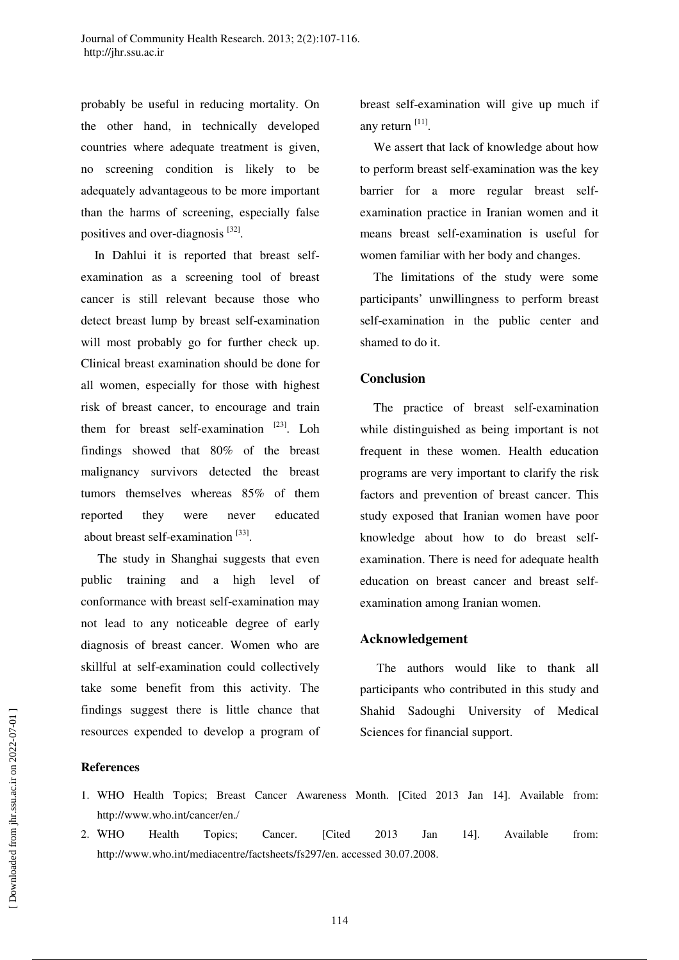probably be useful in reducing mortality. On the other hand, in technically developed countries where adequate treatment is given, no screening condition is likely to be adequately advantageous to be more important than the harms of screening, especially false positives and over-diagnosis<sup>[32]</sup>.

In Dahlui it is reported that breast selfexamination as a screening tool of breast cancer is still relevant because those who detect breast lump by breast self-examination will most probably go for further check up. Clinical breast examination should be done for all women, especially for those with highest risk of breast cancer, to encourage and train them for breast self-examination  $[23]$ . Loh findings showed that 80% of the breast malignancy survivors detected the breast tumors themselves whereas 85% of them reported they were never educated about breast self-examination<sup>[33]</sup>.

 The study in Shanghai suggests that even public training and a high level of conformance with breast self-examination may not lead to any noticeable degree of early diagnosis of breast cancer. Women who are skillful at self-examination could collectively take some benefit from this activity. The findings suggest there is little chance that resources expended to develop a program of breast self-examination will give up much if any return  $^{[11]}$ .

We assert that lack of knowledge about how to perform breast self-examination was the key barrier for a more regular breast selfexamination practice in Iranian women and it means breast self-examination is useful for women familiar with her body and changes.

The limitations of the study were some participants' unwillingness to perform breast self-examination in the public center and shamed to do it.

## **Conclusion**

The practice of breast self-examination while distinguished as being important is not frequent in these women. Health education programs are very important to clarify the risk factors and prevention of breast cancer. This study exposed that Iranian women have poor knowledge about how to do breast selfexamination. There is need for adequate health education on breast cancer and breast selfexamination among Iranian women.

## **Acknowledgement**

 The authors would like to thank all participants who contributed in this study and Shahid Sadoughi University of Medical Sciences for financial support.

## **References**

- 1. WHO Health Topics; Breast Cancer Awareness Month. [Cited 2013 Jan 14]. Available from: http://www.who.int/cancer/en /.
- 2. ٌWHO Health Topics; Cancer. [Cited 2013 Jan 14]. Available from: http://www.who.int/mediacentre/factsheets/fs297/en. accessed 30.07.2008.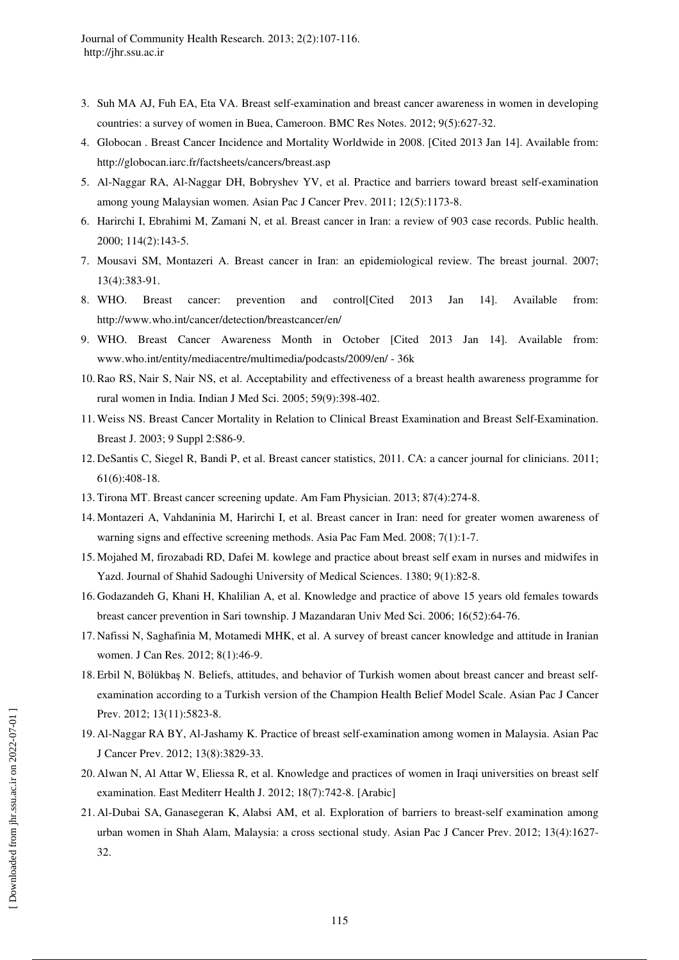- 3. Suh MA AJ, Fuh EA, Eta VA. Breast self-examination and breast cancer awareness in women in developing countries: a survey of women in Buea, Cameroon. BMC Res Notes. 2012; 9(5):627-32.
- 4. Globocan . Breast Cancer Incidence and Mortality Worldwide in 2008. [Cited 2013 Jan 14]. Available from: http://globocan.iarc.fr/factsheets/cancers/breast.asp
- 5. Al-Naggar RA, Al-Naggar DH, Bobryshev YV, et al. Practice and barriers toward breast self-examination among young Malaysian women. Asian Pac J Cancer Prev. 2011; 12(5):1173-8.
- 6. Harirchi I, Ebrahimi M, Zamani N, et al. Breast cancer in Iran: a review of 903 case records. Public health. 2000; 114(2):143-5.
- 7. Mousavi SM, Montazeri A. Breast cancer in Iran: an epidemiological review. The breast journal. 2007; 13(4):383-91.
- 8. WHO. Breast cancer: prevention and control[Cited 2013 Jan 14]. Available from: http://www.who.int/cancer/detection/breastcancer/en/
- 9. WHO. Breast Cancer Awareness Month in October [Cited 2013 Jan 14]. Available from: www.who.int/entity/mediacentre/multimedia/podcasts/2009/en/ - 36k
- 10.Rao RS, Nair S, Nair NS, et al. Acceptability and effectiveness of a breast health awareness programme for rural women in India. Indian J Med Sci. 2005; 59(9):398-402.
- 11. Weiss NS. Breast Cancer Mortality in Relation to Clinical Breast Examination and Breast Self‐Examination. Breast J. 2003; 9 Suppl 2:S86-9.
- 12. DeSantis C, Siegel R, Bandi P, et al. Breast cancer statistics, 2011. CA: a cancer journal for clinicians. 2011; 61(6):408-18.
- 13. Tirona MT. Breast cancer screening update. Am Fam Physician. 2013; 87(4):274-8.
- 14. Montazeri A, Vahdaninia M, Harirchi I, et al. Breast cancer in Iran: need for greater women awareness of warning signs and effective screening methods. Asia Pac Fam Med. 2008; 7(1):1-7.
- 15. Mojahed M, firozabadi RD, Dafei M. kowlege and practice about breast self exam in nurses and midwifes in Yazd. Journal of Shahid Sadoughi University of Medical Sciences. 1380; 9(1):82-8.
- 16. Godazandeh G, Khani H, Khalilian A, et al. Knowledge and practice of above 15 years old females towards breast cancer prevention in Sari township. J Mazandaran Univ Med Sci. 2006; 16(52):64-76.
- 17. Nafissi N, Saghafinia M, Motamedi MHK, et al. A survey of breast cancer knowledge and attitude in Iranian women. J Can Res. 2012; 8(1):46-9.
- 18. Erbil N, Bölükbaş N. Beliefs, attitudes, and behavior of Turkish women about breast cancer and breast selfexamination according to a Turkish version of the Champion Health Belief Model Scale. Asian Pac J Cancer Prev. 2012; 13(11):5823-8.
- 19. Al-Naggar RA BY, Al-Jashamy K. Practice of breast self-examination among women in Malaysia. Asian Pac J Cancer Prev. 2012; 13(8):3829-33.
- 20. Alwan N, Al Attar W, Eliessa R, et al. Knowledge and practices of women in Iraqi universities on breast self examination. East Mediterr Health J. 2012; 18(7):742-8. [Arabic]
- 21. Al-Dubai SA, Ganasegeran K, Alabsi AM, et al. Exploration of barriers to breast-self examination among urban women in Shah Alam, Malaysia: a cross sectional study. Asian Pac J Cancer Prev. 2012; 13(4):1627- 32.